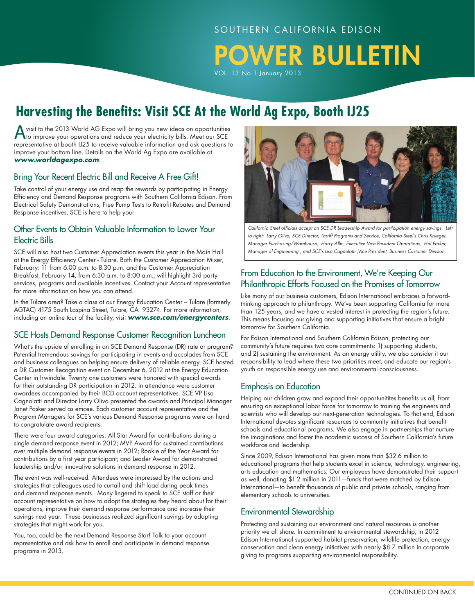#### SOUTHERN CALIFORNIA EDISON

POWER BULLETIN

VOL. 13 No.1 January 2013

# **Harvesting the Benefits: Visit SCE At the World Ag Expo, Booth IJ25**

A visit to the 2013 World AG Expo will bring you new ideas on opportunities<br>to improve your operations and reduce your electricity bills. Meet our SCE representative at booth IJ25 to receive valuable information and ask questions to improve your bottom line. Details on the World Ag Expo are available at *www.worldagexpo.com*.

#### Bring Your Recent Electric Bill and Receive A Free Gift!

Take control of your energy use and reap the rewards by participating in Energy Efficiency and Demand Response programs with Southern California Edison. From Electrical Safety Demonstrations, Free Pump Tests to Retrofit Rebates and Demand Response incentives, SCE is here to help you!

#### Other Events to Obtain Valuable Information to Lower Your Electric Bills

SCE will also host two Customer Appreciation events this year in the Main Hall at the Energy Efficiency Center - Tulare. Both the Customer Appreciation Mixer, February, 11 from 6:00 p.m. to 8:30 p.m. and the Customer Appreciation Breakfast, February 14, from 6:30 a.m. to 8:00 a.m., will highlight 3rd party services, programs and available incentives. Contact your Account representative for more information on how you can attend.

In the Tulare area? Take a class at our Energy Education Center – Tulare (formerly AGTAC) 4175 South Laspina Street, Tulare, CA 93274. For more information, including an online tour of the facility, visit *www.sce.com/energycenters*.

#### SCE Hosts Demand Response Customer Recognition Luncheon

What's the upside of enrolling in an SCE Demand Response (DR) rate or program? Potential tremendous savings for participating in events and accolades from SCE and business colleagues on helping ensure delivery of reliable energy. SCE hosted a DR Customer Recognition event on December 6, 2012 at the Energy Education Center in Irwindale. Twenty one customers were honored with special awards for their outstanding DR participation in 2012. In attendance were customer awardees accompanied by their BCD account representatives. SCE VP Lisa Cagnolatti and Director Larry Oliva presented the awards and Principal Manager Janet Pasker served as emcee. Each customer account representative and the Program Managers for SCE's various Demand Response programs were on hand to congratulate award recipients.

There were four award categories: All Star Award for contributions during a single demand response event in 2012; MVP Award for sustained contributions over multiple demand response events in 2012; Rookie of the Year Award for contributions by a first year participant; and Leader Award for demonstrated leadership and/or innovative solutions in demand response in 2012.

The event was well-received. Attendees were impressed by the actions and strategies that colleagues used to curtail and shift load during peak times and demand response events. Many lingered to speak to SCE staff or their account representative on how to adopt the strategies they heard about for their operations, improve their demand response performance and increase their savings next year. These businesses realized significant savings by adopting strategies that might work for you.

You, too, could be the next Demand Response Star! Talk to your account representative and ask how to enroll and participate in demand response programs in 2013.



*California Steel officials accept an SCE DR Leadership Award for participation energy savings. Left to right: Larry Oliva, SCE Director, Tarriff Programs and Service, California Steel's Chris Krueger, Manager Purchasing/Warehouse, Harry Allin, Executive Vice President Operations, Hal Parker, Manager of Engineering , and SCE's Lisa Cagnolatti ,Vice President, Business Customer Division.* 

#### From Education to the Environment, We're Keeping Our Philanthropic Efforts Focused on the Promises of Tomorrow

Like many of our business customers, Edison International embraces a forwardthinking approach to philanthropy. We've been supporting California for more than 125 years, and we have a vested interest in protecting the region's future. This means focusing our giving and supporting initiatives that ensure a bright tomorrow for Southern California.

For Edison International and Southern California Edison, protecting our community's future requires two core commitments: 1) supporting students, and 2) sustaining the environment. As an energy utility, we also consider it our responsibility to lead where these two priorities meet, and educate our region's youth on responsible energy use and environmental consciousness.

#### Emphasis on Education

Helping our children grow and expand their opportunitites benefits us all, from ensuring an exceptional labor force for tomorrow to training the engineers and scientists who will develop our next-generation technologies. To that end, Edison International devotes significant resources to community initiatives that benefit schools and educational programs. We also engage in partnerships that nurture the imaginations and foster the academic success of Southern California's future workforce and leadership.

Since 2009, Edison International has given more than \$32.6 million to educational programs that help students excel in science, technology, engineering, arts education and mathematics. Our employees have demonstrated their support as well, donating \$1.2 million in 2011—funds that were matched by Edison International—to benefit thousands of public and private schools, ranging from elementary schools to universities.

#### Environmental Stewardship

Protecting and sustaining our environment and natural resources is another priority we all share. In commitment to environmental stewardship, in 2012 Edison International supported habitat preservation, wildlife protection, energy conservation and clean energy initiatives with nearly \$8.7 million in corporate giving to programs supporting environmental responsibility.